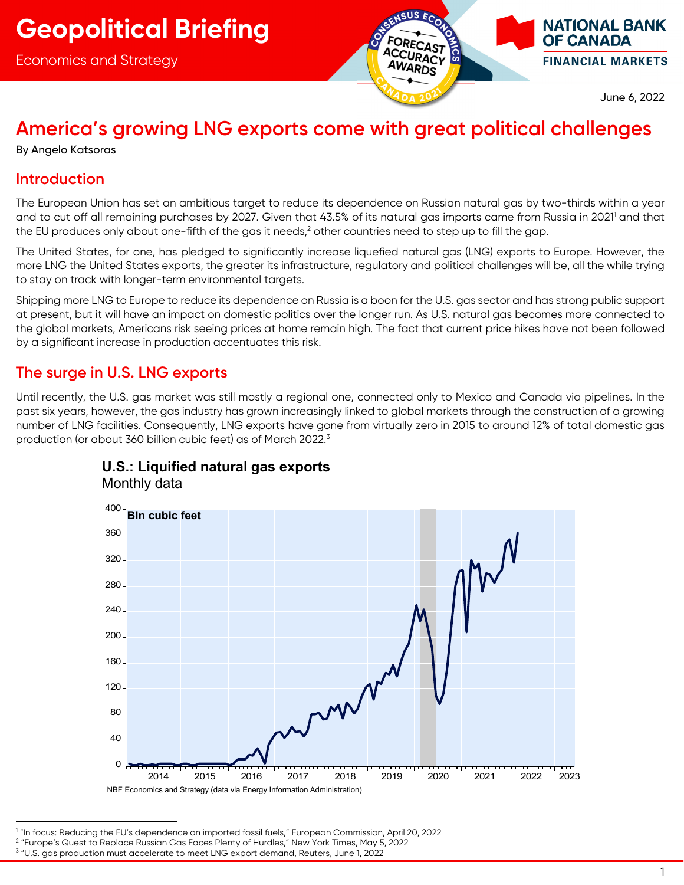Economics and Strategy



June 6, 2022

**NATIONAL BANK** 

**FINANCIAL MARKETS** 

**OF CANADA** 

## **America's growing LNG exports come with great political challenges**

By Angelo Katsoras

## **Introduction**

The European Union has set an ambitious target to reduce its dependence on Russian natural gas by two-thirds within a year and to cut off all remaining purchases by 2027. Given that 43.5% of its natural gas imports came from Russia in 2021<sup>1</sup> and that the EU produces only about one-fifth of the gas it needs, $^2$  other countries need to step up to fill the gap.

The United States, for one, has pledged to significantly increase liquefied natural gas (LNG) exports to Europe. However, the more LNG the United States exports, the greater its infrastructure, regulatory and political challenges will be, all the while trying to stay on track with longer-term environmental targets.

Shipping more LNG to Europe to reduce its dependence on Russia is a boon for the U.S. gas sector and has strong public support at present, but it will have an impact on domestic politics over the longer run. As U.S. natural gas becomes more connected to the global markets, Americans risk seeing prices at home remain high. The fact that current price hikes have not been followed by a significant increase in production accentuates this risk.

## **The surge in U.S. LNG exports**

Until recently, the U.S. gas market was still mostly a regional one, connected only to Mexico and Canada via pipelines. In the past six years, however, the gas industry has grown increasingly linked to global markets through the construction of a growing number of LNG facilities. Consequently, LNG exports have gone from virtually zero in 2015 to around 12% of total domestic gas production (or about 360 billion cubic feet) as of March 2022. $^3$ 



# **U.S.: Liquified natural gas exports**

<sup>1</sup> "In focus: Reducing the EU's dependence on imported fossil fuels," European Commission, April 20, 2022

<sup>2</sup> "Europe's Quest to Replace Russian Gas Faces Plenty of Hurdles," New York Times, May 5, 2022

<sup>3</sup> "U.S. gas production must accelerate to meet LNG export demand, Reuters, June 1, 2022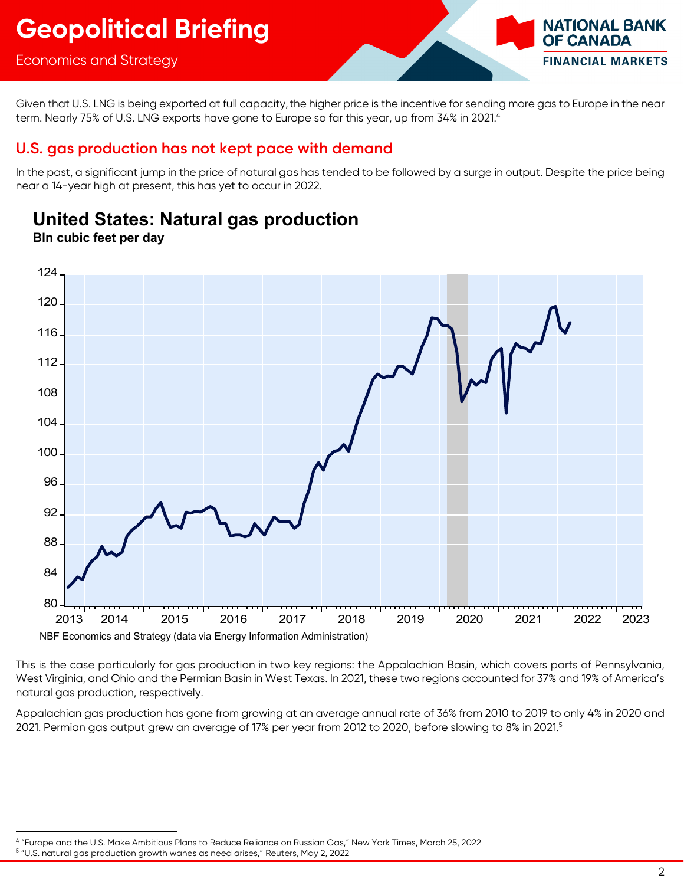## Economics and Strategy

Given that U.S. LNG is being exported at full capacity, the higher price is the incentive for sending more gas to Europe in the near term. Nearly 75% of U.S. LNG exports have gone to Europe so far this year, up from 34% in 2021.<sup>4</sup>

## **U.S. gas production has not kept pace with demand**

In the past, a significant jump in the price of natural gas has tended to be followed by a surge in output. Despite the price being near a 14-year high at present, this has yet to occur in 2022.



**United States: Natural gas production**

**Bln cubic feet per day** 

This is the case particularly for gas production in two key regions: the Appalachian Basin, which covers parts of Pennsylvania, West Virginia, and Ohio and the Permian Basin in West Texas. In 2021, these two regions accounted for 37% and 19% of America's natural gas production, respectively.

Appalachian gas production has gone from growing at an average annual rate of 36% from 2010 to 2019 to only 4% in 2020 and 2021. Permian gas output grew an average of 17% per year from 2012 to 2020, before slowing to 8% in 2021.<sup>5</sup>

**NATIONAL BANK** 

**FINANCIAL MARKETS** 

**OF CANADA** 

<sup>&</sup>lt;sup>4</sup> "Europe and the U.S. Make Ambitious Plans to Reduce Reliance on Russian Gas," New York Times, March 25, 2022<br><sup>5</sup> "LLS, natural ags production growth wapes as pood grises." Pouters May 2, 2022

<sup>&</sup>lt;sup>5</sup> "U.S. natural gas production growth wanes as need arises," Reuters, May 2, 2022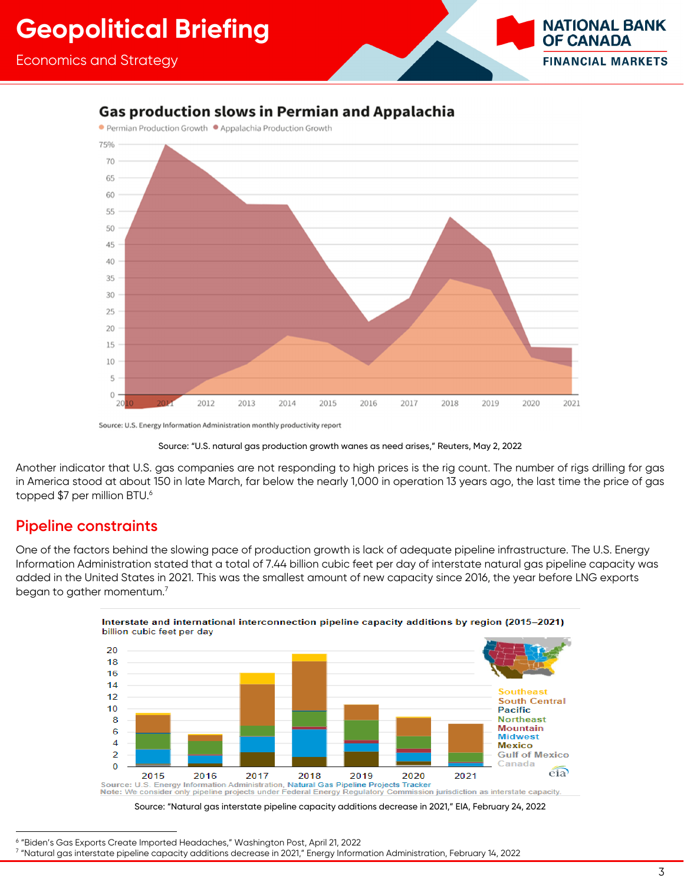## **Gas production slows in Permian and Appalachia**



Source: U.S. Energy Information Administration monthly productivity report

Another indicator that U.S. gas companies are not responding to high prices is the rig count. The number of rigs drilling for gas in America stood at about 150 in late March, far below the nearly 1,000 in operation 13 years ago, the last time the price of gas topped \$7 per million BTU.<sup>6</sup>

### **Pipeline constraints**

One of the factors behind the slowing pace of production growth is lack of adequate pipeline infrastructure. The U.S. Energy Information Administration stated that a total of 7.44 billion cubic feet per day of interstate natural gas pipeline capacity was added in the United States in 2021. This was the smallest amount of new capacity since 2016, the year before LNG exports began to gather momentum.<sup>7</sup>





<sup>&</sup>lt;sup>6</sup> "Biden's Gas Exports Create Imported Headaches," Washington Post, April 21, 2022<br><sup>7</sup> "Natural ags interstate pipeline capacity additions decrease in 2021." Epergy Inferm

**NATIONAL BANK** 

**FINANCIAL MARKETS** 

**OF CANADA** 

Source: "U.S. natural gas production growth wanes as need arises," Reuters, May 2, 2022

 <sup>&</sup>quot;Natural gas interstate pipeline capacity additions decrease in 2021," Energy Information Administration, February 14, 2022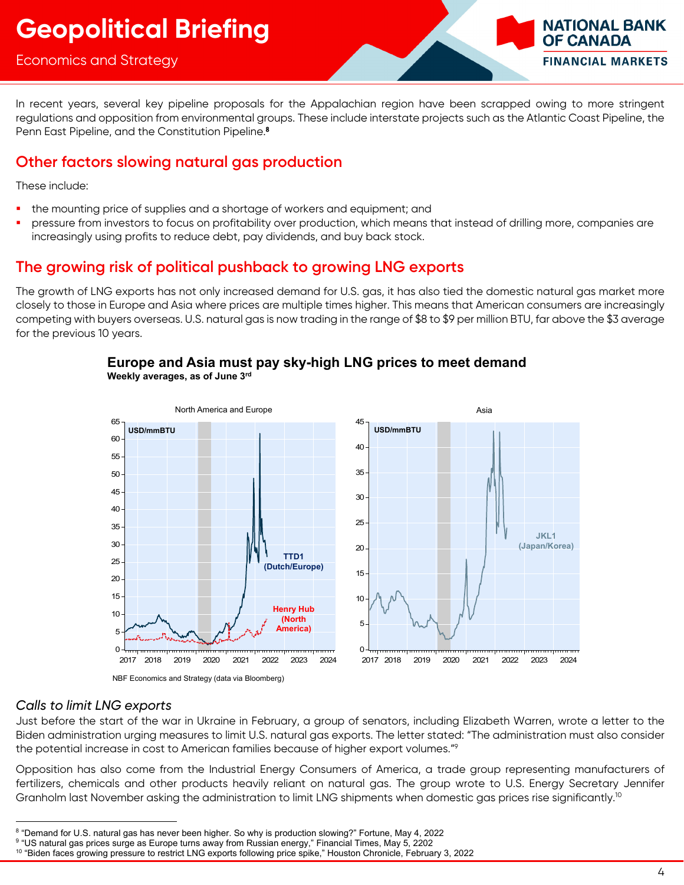### Economics and Strategy

In recent years, several key pipeline proposals for the Appalachian region have been scrapped owing to more stringent regulations and opposition from environmental groups. These include interstate projects such as the Atlantic Coast Pipeline, the Penn East Pipeline, and the Constitution Pipeline.<sup>8</sup>

## **Other factors slowing natural gas production**

These include:

- the mounting price of supplies and a shortage of workers and equipment; and
- pressure from investors to focus on profitability over production, which means that instead of drilling more, companies are increasingly using profits to reduce debt, pay dividends, and buy back stock.

## **The growing risk of political pushback to growing LNG exports**

The growth of LNG exports has not only increased demand for U.S. gas, it has also tied the domestic natural gas market more closely to those in Europe and Asia where prices are multiple times higher. This means that American consumers are increasingly competing with buyers overseas. U.S. natural gas is now trading in the range of \$8 to \$9 per million BTU, far above the \$3 average for the previous 10 years.



#### **Europe and Asia must pay sky-high LNG prices to meet demand Weekly averages, as of June 3rd**

NBF Economics and Strategy (data via Bloomberg)

#### *Calls to limit LNG exports*

Just before the start of the war in Ukraine in February, a group of senators, including Elizabeth Warren, wrote a letter to the Biden administration urging measures to limit U.S. natural gas exports. The letter stated: "The administration must also consider the potential increase in cost to American families because of higher export volumes."9

Opposition has also come from the Industrial Energy Consumers of America, a trade group representing manufacturers of fertilizers, chemicals and other products heavily reliant on natural gas. The group wrote to U.S. Energy Secretary Jennifer Granholm last November asking the administration to limit LNG shipments when domestic gas prices rise significantly.<sup>10</sup>

**NATIONAL BANK** 

**FINANCIAL MARKETS** 

**OF CANADA** 

<sup>&</sup>lt;sup>8</sup> "Demand for U.S. natural gas has never been higher. So why is production slowing?" Fortune, May 4, 2022.<br><sup>9 "LIS natural gas prices surge as Europe turns away from Pussian energy." Financial Times, May 5, 2202.</sup>

<sup>&</sup>lt;sup>9 "</sup>US natural gas prices surge as Europe turns away from Russian energy," Financial Times, May 5, 2202<br><sup>10</sup> "Biden faces growing pressure to restrict LNG exports following price spike," Houston Chronicle, February 3, 202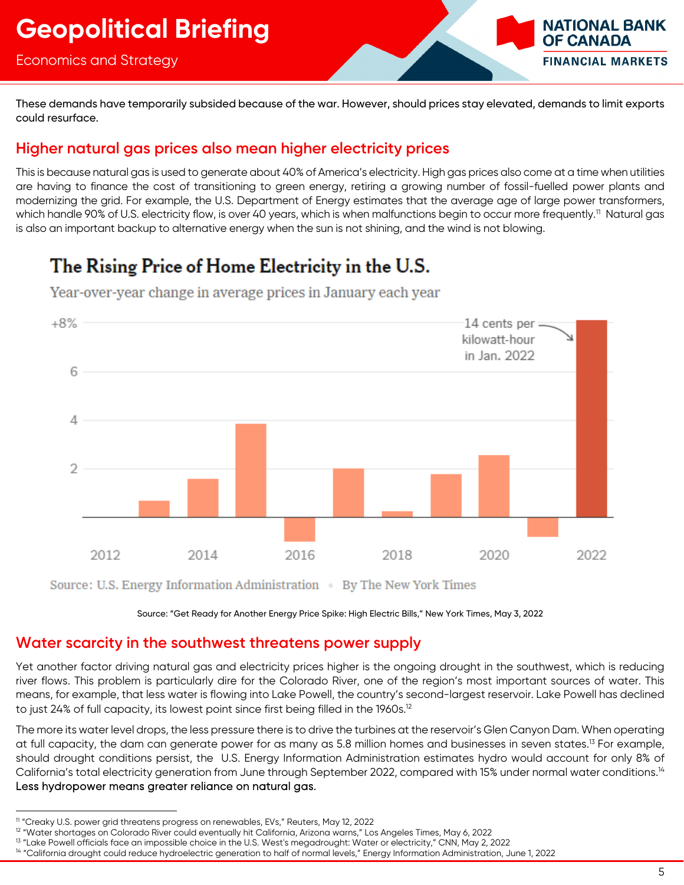### Economics and Strategy

**NATIONAL BANK OF CANADA FINANCIAL MARKETS** 

These demands have temporarily subsided because of the war. However, should prices stay elevated, demands to limit exports could resurface.

## **Higher natural gas prices also mean higher electricity prices**

This is because natural gas is used to generate about 40% of America's electricity. High gas prices also come at a time when utilities are having to finance the cost of transitioning to green energy, retiring a growing number of fossil-fuelled power plants and modernizing the grid. For example, the U.S. Department of Energy estimates that the average age of large power transformers, which handle 90% of U.S. electricity flow, is over 40 years, which is when malfunctions begin to occur more frequently.<sup>11</sup> Natural gas is also an important backup to alternative energy when the sun is not shining, and the wind is not blowing.

## The Rising Price of Home Electricity in the U.S.



Year-over-year change in average prices in January each year

Source: "Get Ready for Another Energy Price Spike: High Electric Bills," New York Times, May 3, 2022

## **Water scarcity in the southwest threatens power supply**

Yet another factor driving natural gas and electricity prices higher is the ongoing drought in the southwest, which is reducing river flows. This problem is particularly dire for the Colorado River, one of the region's most important sources of water. This means, for example, that less water is flowing into Lake Powell, the country's second-largest reservoir. Lake Powell has declined to just 24% of full capacity, its lowest point since first being filled in the 1960s.<sup>12</sup>

The more its water level drops, the less pressure there is to drive the turbines at the reservoir's Glen Canyon Dam. When operating at full capacity, the dam can generate power for as many as 5.8 million homes and businesses in seven states.<sup>13</sup> For example, should drought conditions persist, the U.S. Energy Information Administration estimates hydro would account for only 8% of California's total electricity generation from June through September 2022, compared with 15% under normal water conditions.<sup>14</sup> Less hydropower means greater reliance on natural gas.

Source: U.S. Energy Information Administration . By The New York Times

<sup>&</sup>lt;sup>11</sup> "Creaky U.S. power grid threatens progress on renewables, EVs," Reuters, May 12, 2022

<sup>&</sup>lt;sup>12</sup> "Water shortages on Colorado River could eventually hit California, Arizona warns," Los Angeles Times, May 6, 2022<br><sup>13</sup> "Lake Powell officials face an impossible choice in the U.S. West's megadrought: Water or electri

<sup>&</sup>lt;sup>14</sup> "California drought could reduce hydroelectric generation to half of normal levels," Energy Information Administration, June 1, 2022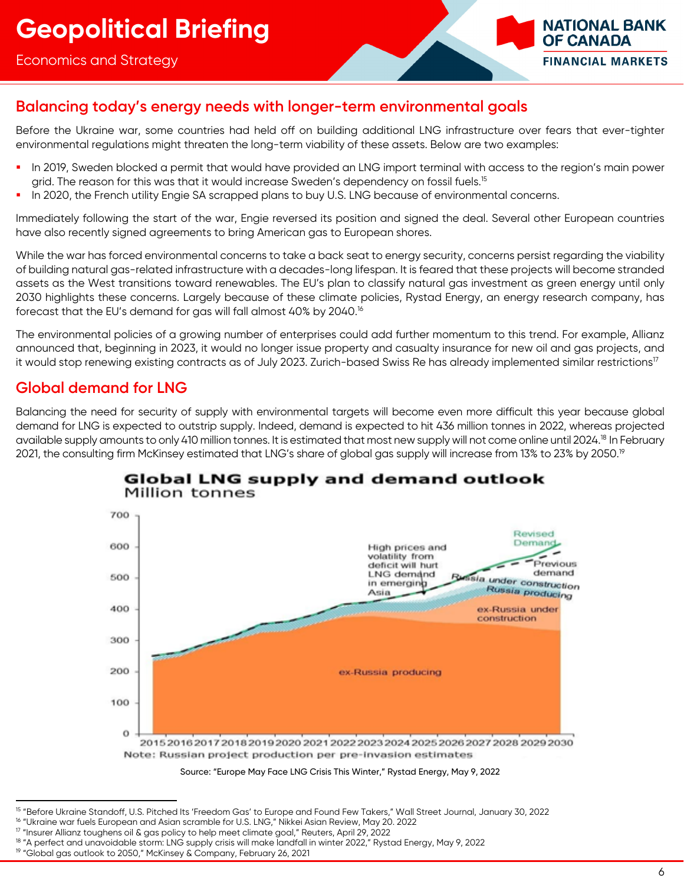

## **Balancing today's energy needs with longer-term environmental goals**

Before the Ukraine war, some countries had held off on building additional LNG infrastructure over fears that ever-tighter environmental regulations might threaten the long-term viability of these assets. Below are two examples:

- In 2019, Sweden blocked a permit that would have provided an LNG import terminal with access to the region's main power grid. The reason for this was that it would increase Sweden's dependency on fossil fuels.<sup>15</sup>
- In 2020, the French utility Engie SA scrapped plans to buy U.S. LNG because of environmental concerns.

Immediately following the start of the war, Engie reversed its position and signed the deal. Several other European countries have also recently signed agreements to bring American gas to European shores.

While the war has forced environmental concerns to take a back seat to energy security, concerns persist regarding the viability of building natural gas-related infrastructure with a decades-long lifespan. It is feared that these projects will become stranded assets as the West transitions toward renewables. The EU's plan to classify natural gas investment as green energy until only 2030 highlights these concerns. Largely because of these climate policies, Rystad Energy, an energy research company, has forecast that the EU's demand for gas will fall almost 40% by 2040.16

The environmental policies of a growing number of enterprises could add further momentum to this trend. For example, Allianz announced that, beginning in 2023, it would no longer issue property and casualty insurance for new oil and gas projects, and it would stop renewing existing contracts as of July 2023. Zurich-based Swiss Re has already implemented similar restrictions<sup>17</sup>

## **Global demand for LNG**

Balancing the need for security of supply with environmental targets will become even more difficult this year because global demand for LNG is expected to outstrip supply. Indeed, demand is expected to hit 436 million tonnes in 2022, whereas projected available supply amounts to only 410 million tonnes. It is estimated that most new supply will not come online until 2024.18 In February 2021, the consulting firm McKinsey estimated that LNG's share of global gas supply will increase from 13% to 23% by 2050.<sup>19</sup>



#### Global LNG supply and demand outlook Million tonnes

Source: "Europe May Face LNG Crisis This Winter," Rystad Energy, May 9, 2022

<sup>&</sup>lt;sup>15</sup> "Before Ukraine Standoff, U.S. Pitched Its 'Freedom Gas' to Europe and Found Few Takers," Wall Street Journal, January 30, 2022<br><sup>16</sup> "Ukraine war fuels European and Asian scramble for U.S. LNG," Nikkei Asian Review, M

<sup>&</sup>lt;sup>18</sup> "A perfect and unavoidable storm: LNG supply crisis will make landfall in winter 2022," Rystad Energy, May 9, 2022

<sup>&</sup>lt;sup>19</sup> "Global gas outlook to 2050," McKinsey & Company, February 26, 2021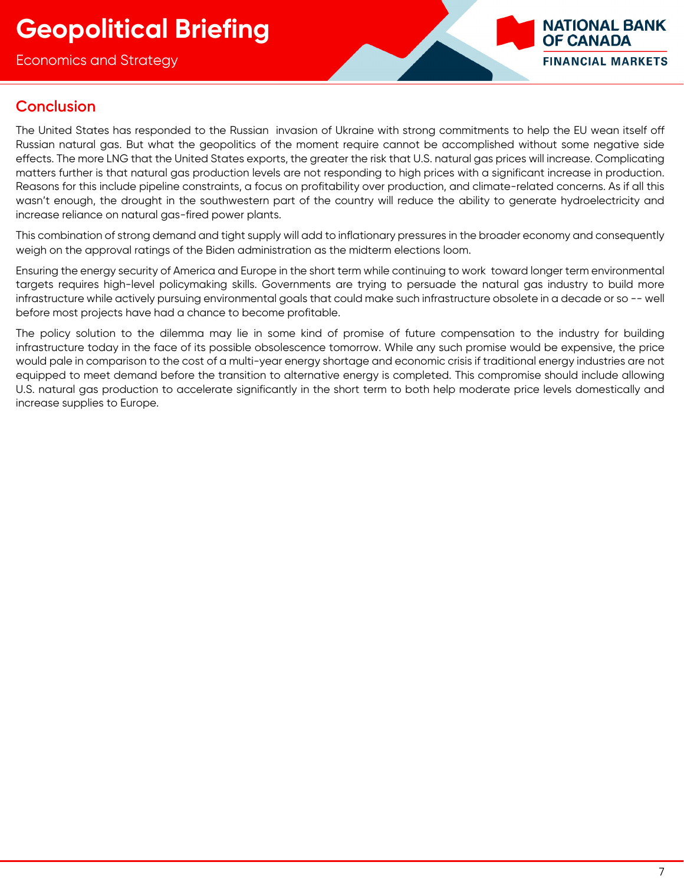Economics and Strategy



## **Conclusion**

The United States has responded to the Russian invasion of Ukraine with strong commitments to help the EU wean itself off Russian natural gas. But what the geopolitics of the moment require cannot be accomplished without some negative side effects. The more LNG that the United States exports, the greater the risk that U.S. natural gas prices will increase. Complicating matters further is that natural gas production levels are not responding to high prices with a significant increase in production. Reasons for this include pipeline constraints, a focus on profitability over production, and climate-related concerns. As if all this wasn't enough, the drought in the southwestern part of the country will reduce the ability to generate hydroelectricity and increase reliance on natural gas-fired power plants.

This combination of strong demand and tight supply will add to inflationary pressures in the broader economy and consequently weigh on the approval ratings of the Biden administration as the midterm elections loom.

Ensuring the energy security of America and Europe in the short term while continuing to work toward longer term environmental targets requires high-level policymaking skills. Governments are trying to persuade the natural gas industry to build more infrastructure while actively pursuing environmental goals that could make such infrastructure obsolete in a decade or so -- well before most projects have had a chance to become profitable.

The policy solution to the dilemma may lie in some kind of promise of future compensation to the industry for building infrastructure today in the face of its possible obsolescence tomorrow. While any such promise would be expensive, the price would pale in comparison to the cost of a multi-year energy shortage and economic crisis if traditional energy industries are not equipped to meet demand before the transition to alternative energy is completed. This compromise should include allowing U.S. natural gas production to accelerate significantly in the short term to both help moderate price levels domestically and increase supplies to Europe.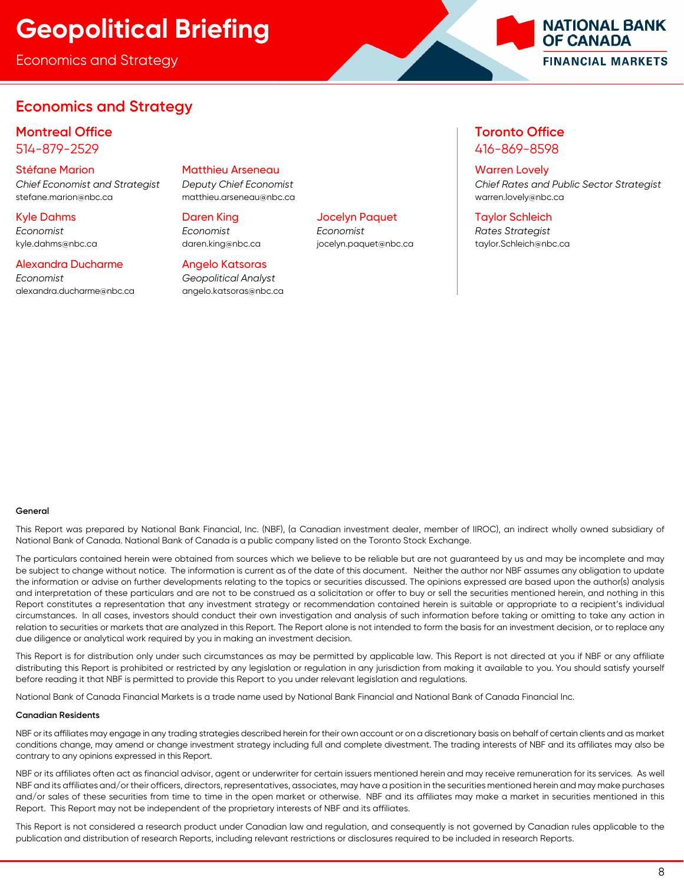Economics and Strategy

## **Economics and Strategy**

#### **Montreal Office Toronto Office** 514-879-2529 416-869-8598

stefane.marion@nbc.ca matthieu.arseneau@nbc.ca warren.lovely@nbc.ca

#### Alexandra Ducharme Angelo Katsoras

*Economist Geopolitical Analyst*  alexandra.ducharme@nbc.ca angelo.katsoras@nbc.ca

#### Stéfane Marion Matthieu Arseneau Warren Lovely

#### Kyle Dahms Daren King Jocelyn Paquet Taylor Schleich

*Economist Economist Economist Rates Strategist* 

*Chief Economist and Strategist Deputy Chief Economist Chief Rates and Public Sector Strategist* 

**NATIONAL BANK OF CANADA** 

**FINANCIAL MARKETS** 

kyle.dahms@nbc.ca daren.king@nbc.ca jocelyn.paquet@nbc.ca taylor.Schleich@nbc.ca

#### **General**

This Report was prepared by National Bank Financial, Inc. (NBF), (a Canadian investment dealer, member of IIROC), an indirect wholly owned subsidiary of National Bank of Canada. National Bank of Canada is a public company listed on the Toronto Stock Exchange.

The particulars contained herein were obtained from sources which we believe to be reliable but are not guaranteed by us and may be incomplete and may be subject to change without notice. The information is current as of the date of this document. Neither the author nor NBF assumes any obligation to update the information or advise on further developments relating to the topics or securities discussed. The opinions expressed are based upon the author(s) analysis and interpretation of these particulars and are not to be construed as a solicitation or offer to buy or sell the securities mentioned herein, and nothing in this Report constitutes a representation that any investment strategy or recommendation contained herein is suitable or appropriate to a recipient's individual circumstances. In all cases, investors should conduct their own investigation and analysis of such information before taking or omitting to take any action in relation to securities or markets that are analyzed in this Report. The Report alone is not intended to form the basis for an investment decision, or to replace any due diligence or analytical work required by you in making an investment decision.

This Report is for distribution only under such circumstances as may be permitted by applicable law. This Report is not directed at you if NBF or any affiliate distributing this Report is prohibited or restricted by any legislation or regulation in any jurisdiction from making it available to you. You should satisfy yourself before reading it that NBF is permitted to provide this Report to you under relevant legislation and regulations.

National Bank of Canada Financial Markets is a trade name used by National Bank Financial and National Bank of Canada Financial Inc.

#### **Canadian Residents**

NBF or its affiliates may engage in any trading strategies described herein for their own account or on a discretionary basis on behalf of certain clients and as market conditions change, may amend or change investment strategy including full and complete divestment. The trading interests of NBF and its affiliates may also be contrary to any opinions expressed in this Report.

NBF or its affiliates often act as financial advisor, agent or underwriter for certain issuers mentioned herein and may receive remuneration for its services. As well NBF and its affiliates and/or their officers, directors, representatives, associates, may have a position in the securities mentioned herein and may make purchases and/or sales of these securities from time to time in the open market or otherwise. NBF and its affiliates may make a market in securities mentioned in this Report. This Report may not be independent of the proprietary interests of NBF and its affiliates.

This Report is not considered a research product under Canadian law and regulation, and consequently is not governed by Canadian rules applicable to the publication and distribution of research Reports, including relevant restrictions or disclosures required to be included in research Reports.